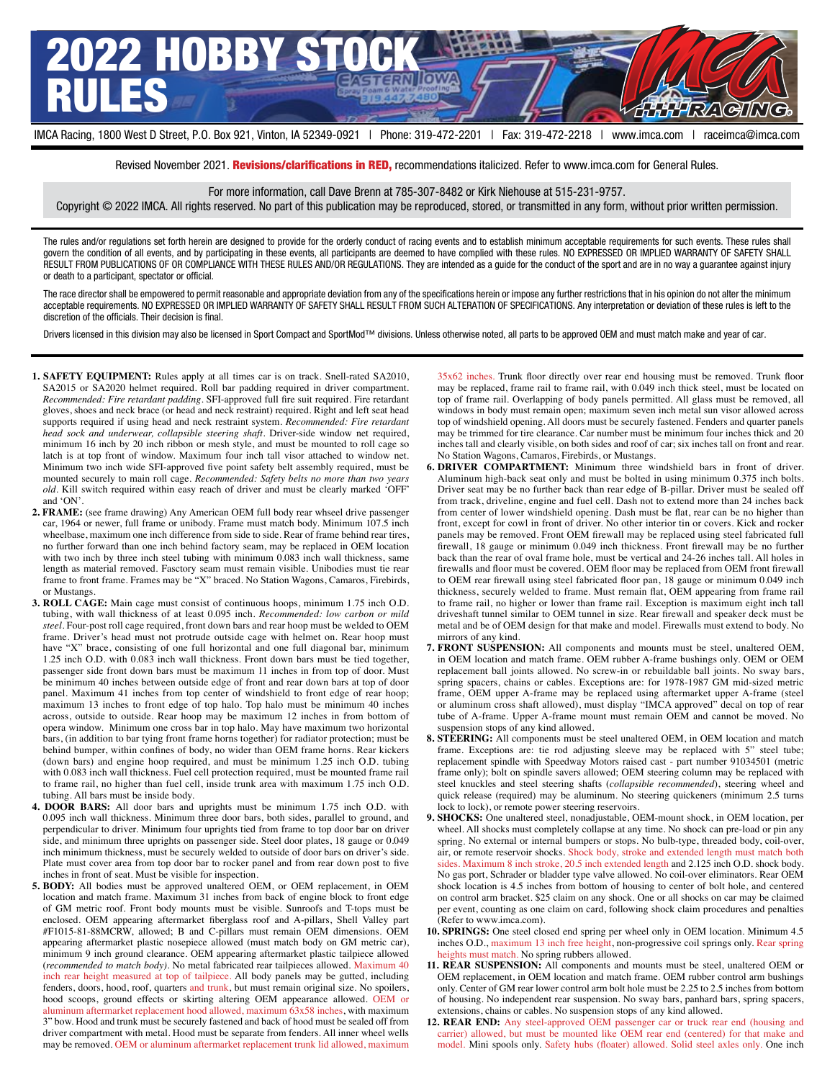

Revised November 2021. Revisions/clarifications in RED, recommendations italicized. Refer to www.imca.com for General Rules.

For more information, call Dave Brenn at 785-307-8482 or Kirk Niehouse at 515-231-9757.

Copyright © 2022 IMCA. All rights reserved. No part of this publication may be reproduced, stored, or transmitted in any form, without prior written permission.

The rules and/or regulations set forth herein are designed to provide for the orderly conduct of racing events and to establish minimum acceptable requirements for such events. These rules shall govern the condition of all events, and by participating in these events, all participants are deemed to have complied with these rules. NO EXPRESSED OR IMPLIED WARRANTY OF SAFETY SHALL RESULT FROM PUBLICATIONS OF OR COMPLIANCE WITH THESE RULES AND/OR REGULATIONS. They are intended as a guide for the conduct of the sport and are in no way a guarantee against injury or death to a participant, spectator or official.

The race director shall be empowered to permit reasonable and appropriate deviation from any of the specifications herein or impose any further restrictions that in his opinion do not alter the minimum acceptable requirements. NO EXPRESSED OR IMPLIED WARRANTY OF SAFETY SHALL RESULT FROM SUCH ALTERATION OF SPECIFICATIONS. Any interpretation or deviation of these rules is left to the discretion of the officials. Their decision is final.

Drivers licensed in this division may also be licensed in Sport Compact and SportMod™ divisions. Unless otherwise noted, all parts to be approved OEM and must match make and year of car.

- **1. SAFETY EQUIPMENT:** Rules apply at all times car is on track. Snell-rated SA2010, SA2015 or SA2020 helmet required. Roll bar padding required in driver compartment. *Recommended: Fire retardant padding*. SFI-approved full fire suit required. Fire retardant gloves, shoes and neck brace (or head and neck restraint) required. Right and left seat head supports required if using head and neck restraint system. *Recommended: Fire retardant head sock and underwear, collapsible steering shaft*. Driver-side window net required, minimum 16 inch by 20 inch ribbon or mesh style, and must be mounted to roll cage so latch is at top front of window. Maximum four inch tall visor attached to window net. Minimum two inch wide SFI-approved five point safety belt assembly required, must be mounted securely to main roll cage. *Recommended: Safety belts no more than two years old*. Kill switch required within easy reach of driver and must be clearly marked 'OFF' and 'ON'.
- **2. FRAME:** (see frame drawing) Any American OEM full body rear whseel drive passenger car, 1964 or newer, full frame or unibody. Frame must match body. Minimum 107.5 inch wheelbase, maximum one inch difference from side to side. Rear of frame behind rear tires, no further forward than one inch behind factory seam, may be replaced in OEM location with two inch by three inch steel tubing with minimum 0.083 inch wall thickness, same length as material removed. Fasctory seam must remain visible. Unibodies must tie rear frame to front frame. Frames may be "X" braced. No Station Wagons, Camaros, Firebirds, or Mustangs.
- **3. ROLL CAGE:** Main cage must consist of continuous hoops, minimum 1.75 inch O.D. tubing, with wall thickness of at least 0.095 inch. *Recommended: low carbon or mild steel*. Four-post roll cage required, front down bars and rear hoop must be welded to OEM frame. Driver's head must not protrude outside cage with helmet on. Rear hoop must have "X" brace, consisting of one full horizontal and one full diagonal bar, minimum 1.25 inch O.D. with 0.083 inch wall thickness. Front down bars must be tied together, passenger side front down bars must be maximum 11 inches in from top of door. Must be minimum 40 inches between outside edge of front and rear down bars at top of door panel. Maximum 41 inches from top center of windshield to front edge of rear hoop; maximum 13 inches to front edge of top halo. Top halo must be minimum 40 inches across, outside to outside. Rear hoop may be maximum 12 inches in from bottom of opera window. Minimum one cross bar in top halo. May have maximum two horizontal bars, (in addition to bar tying front frame horns together) for radiator protection; must be behind bumper, within confines of body, no wider than OEM frame horns. Rear kickers (down bars) and engine hoop required, and must be minimum 1.25 inch O.D. tubing with 0.083 inch wall thickness. Fuel cell protection required, must be mounted frame rail to frame rail, no higher than fuel cell, inside trunk area with maximum 1.75 inch O.D. tubing. All bars must be inside body.
- **4. DOOR BARS:** All door bars and uprights must be minimum 1.75 inch O.D. with 0.095 inch wall thickness. Minimum three door bars, both sides, parallel to ground, and perpendicular to driver. Minimum four uprights tied from frame to top door bar on driver side, and minimum three uprights on passenger side. Steel door plates, 18 gauge or 0.049 inch minimum thickness, must be securely welded to outside of door bars on driver's side. Plate must cover area from top door bar to rocker panel and from rear down post to five inches in front of seat. Must be visible for inspection.
- **5. BODY:** All bodies must be approved unaltered OEM, or OEM replacement, in OEM location and match frame. Maximum 31 inches from back of engine block to front edge of GM metric roof. Front body mounts must be visible. Sunroofs and T-tops must be enclosed. OEM appearing aftermarket fiberglass roof and A-pillars, Shell Valley part #F1015-81-88MCRW, allowed; B and C-pillars must remain OEM dimensions. OEM appearing aftermarket plastic nosepiece allowed (must match body on GM metric car), minimum 9 inch ground clearance. OEM appearing aftermarket plastic tailpiece allowed (*recommended to match body)*. No metal fabricated rear tailpieces allowed. Maximum 40 inch rear height measured at top of tailpiece. All body panels may be gutted, including fenders, doors, hood, roof, quarters and trunk, but must remain original size. No spoilers, hood scoops, ground effects or skirting altering OEM appearance allowed. OEM or aluminum aftermarket replacement hood allowed, maximum 63x58 inches, with maximum 3" bow. Hood and trunk must be securely fastened and back of hood must be sealed off from driver compartment with metal. Hood must be separate from fenders. All inner wheel wells may be removed. OEM or aluminum aftermarket replacement trunk lid allowed, maximum

35x62 inches. Trunk floor directly over rear end housing must be removed. Trunk floor may be replaced, frame rail to frame rail, with 0.049 inch thick steel, must be located on top of frame rail. Overlapping of body panels permitted. All glass must be removed, all windows in body must remain open; maximum seven inch metal sun visor allowed across top of windshield opening. All doors must be securely fastened. Fenders and quarter panels may be trimmed for tire clearance. Car number must be minimum four inches thick and 20 inches tall and clearly visible, on both sides and roof of car; six inches tall on front and rear. No Station Wagons, Camaros, Firebirds, or Mustangs.

- **6. DRIVER COMPARTMENT:** Minimum three windshield bars in front of driver. Aluminum high-back seat only and must be bolted in using minimum 0.375 inch bolts. Driver seat may be no further back than rear edge of B-pillar. Driver must be sealed off from track, driveline, engine and fuel cell. Dash not to extend more than 24 inches back from center of lower windshield opening. Dash must be flat, rear can be no higher than front, except for cowl in front of driver. No other interior tin or covers. Kick and rocker panels may be removed. Front OEM firewall may be replaced using steel fabricated full firewall, 18 gauge or minimum 0.049 inch thickness. Front firewall may be no further back than the rear of oval frame hole, must be vertical and 24-26 inches tall. All holes in firewalls and floor must be covered. OEM floor may be replaced from OEM front firewall to OEM rear firewall using steel fabricated floor pan, 18 gauge or minimum 0.049 inch thickness, securely welded to frame. Must remain flat, OEM appearing from frame rail to frame rail, no higher or lower than frame rail. Exception is maximum eight inch tall driveshaft tunnel similar to OEM tunnel in size. Rear firewall and speaker deck must be metal and be of OEM design for that make and model. Firewalls must extend to body. No mirrors of any kind.
- **7. FRONT SUSPENSION:** All components and mounts must be steel, unaltered OEM, in OEM location and match frame. OEM rubber A-frame bushings only. OEM or OEM replacement ball joints allowed. No screw-in or rebuildable ball joints. No sway bars, spring spacers, chains or cables. Exceptions are: for 1978-1987 GM mid-sized metric frame, OEM upper A-frame may be replaced using aftermarket upper A-frame (steel or aluminum cross shaft allowed), must display "IMCA approved" decal on top of rear tube of A-frame. Upper A-frame mount must remain OEM and cannot be moved. No suspension stops of any kind allowed.
- **8. STEERING:** All components must be steel unaltered OEM, in OEM location and match frame. Exceptions are: tie rod adjusting sleeve may be replaced with 5" steel tube; replacement spindle with Speedway Motors raised cast - part number 91034501 (metric frame only); bolt on spindle savers allowed; OEM steering column may be replaced with steel knuckles and steel steering shafts (*collapsible recommended*), steering wheel and quick release (required) may be aluminum. No steering quickeners (minimum 2.5 turns lock to lock), or remote power steering reservoirs.
- **9. SHOCKS:** One unaltered steel, nonadjustable, OEM-mount shock, in OEM location, per wheel. All shocks must completely collapse at any time. No shock can pre-load or pin any spring. No external or internal bumpers or stops. No bulb-type, threaded body, coil-over, air, or remote reservoir shocks. Shock body, stroke and extended length must match both sides. Maximum 8 inch stroke, 20.5 inch extended length and 2.125 inch O.D. shock body. No gas port, Schrader or bladder type valve allowed. No coil-over eliminators. Rear OEM shock location is 4.5 inches from bottom of housing to center of bolt hole, and centered on control arm bracket. \$25 claim on any shock. One or all shocks on car may be claimed per event, counting as one claim on card, following shock claim procedures and penalties (Refer to www.imca.com).
- **10. SPRINGS:** One steel closed end spring per wheel only in OEM location. Minimum 4.5 inches O.D., maximum 13 inch free height, non-progressive coil springs only. Rear spring heights must match. No spring rubbers allowed.
- **11. REAR SUSPENSION:** All components and mounts must be steel, unaltered OEM or OEM replacement, in OEM location and match frame. OEM rubber control arm bushings only. Center of GM rear lower control arm bolt hole must be 2.25 to 2.5 inches from bottom of housing. No independent rear suspension. No sway bars, panhard bars, spring spacers, extensions, chains or cables. No suspension stops of any kind allowed.
- **12. REAR END:** Any steel-approved OEM passenger car or truck rear end (housing and carrier) allowed, but must be mounted like OEM rear end (centered) for that make and model. Mini spools only. Safety hubs (floater) allowed. Solid steel axles only. One inch